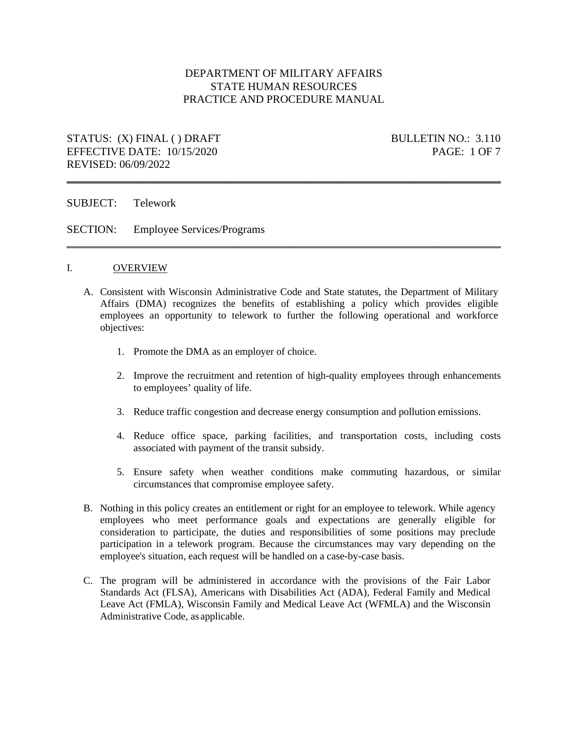## DEPARTMENT OF MILITARY AFFAIRS STATE HUMAN RESOURCES PRACTICE AND PROCEDURE MANUAL

\_\_\_\_\_\_\_\_\_\_\_\_\_\_\_\_\_\_\_\_\_\_\_\_\_\_\_\_\_\_\_\_\_\_\_\_\_\_\_\_\_\_\_\_\_\_\_\_\_\_\_\_\_\_\_\_\_\_\_\_\_\_\_\_\_\_\_\_\_\_\_\_\_\_\_\_\_\_

\_\_\_\_\_\_\_\_\_\_\_\_\_\_\_\_\_\_\_\_\_\_\_\_\_\_\_\_\_\_\_\_\_\_\_\_\_\_\_\_\_\_\_\_\_\_\_\_\_\_\_\_\_\_\_\_\_\_\_\_\_\_\_\_\_\_\_\_\_\_\_\_\_\_\_\_\_\_

# STATUS: (X) FINAL () DRAFT BULLETIN NO.: 3.110 EFFECTIVE DATE: 10/15/2020 PAGE: 1 OF 7 REVISED: 06/09/2022

SUBJECT: Telework

SECTION: Employee Services/Programs

#### I. OVERVIEW

- A. Consistent with Wisconsin Administrative Code and State statutes, the Department of Military Affairs (DMA) recognizes the benefits of establishing a policy which provides eligible employees an opportunity to telework to further the following operational and workforce objectives:
	- 1. Promote the DMA as an employer of choice.
	- 2. Improve the recruitment and retention of high-quality employees through enhancements to employees' quality of life.
	- 3. Reduce traffic congestion and decrease energy consumption and pollution emissions.
	- 4. Reduce office space, parking facilities, and transportation costs, including costs associated with payment of the transit subsidy.
	- 5. Ensure safety when weather conditions make commuting hazardous, or similar circumstances that compromise employee safety.
- B. Nothing in this policy creates an entitlement or right for an employee to telework. While agency employees who meet performance goals and expectations are generally eligible for consideration to participate, the duties and responsibilities of some positions may preclude participation in a telework program. Because the circumstances may vary depending on the employee's situation, each request will be handled on a case-by-case basis.
- C. The program will be administered in accordance with the provisions of the Fair Labor Standards Act (FLSA), Americans with Disabilities Act (ADA), Federal Family and Medical Leave Act (FMLA), Wisconsin Family and Medical Leave Act (WFMLA) and the Wisconsin Administrative Code, as applicable.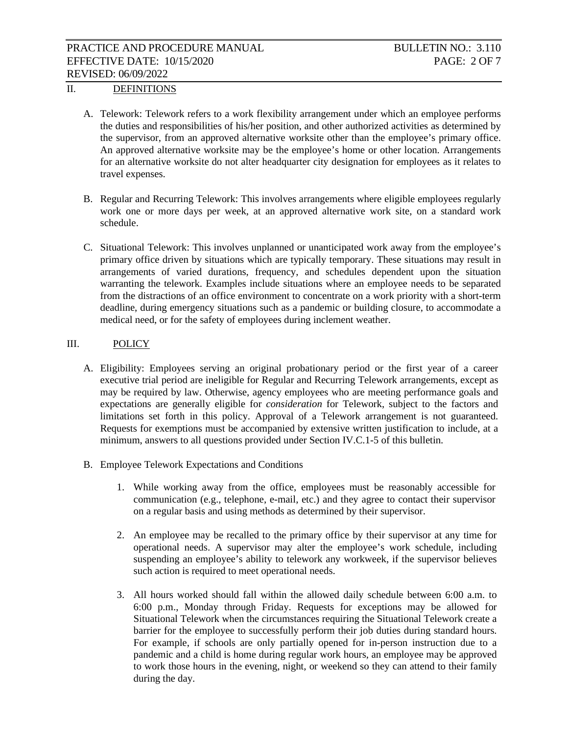## II. DEFINITIONS

- A. Telework: Telework refers to a work flexibility arrangement under which an employee performs the duties and responsibilities of his/her position, and other authorized activities as determined by the supervisor, from an approved alternative worksite other than the employee's primary office. An approved alternative worksite may be the employee's home or other location. Arrangements for an alternative worksite do not alter headquarter city designation for employees as it relates to travel expenses.
- B. Regular and Recurring Telework: This involves arrangements where eligible employees regularly work one or more days per week, at an approved alternative work site, on a standard work schedule.
- C. Situational Telework: This involves unplanned or unanticipated work away from the employee's primary office driven by situations which are typically temporary. These situations may result in arrangements of varied durations, frequency, and schedules dependent upon the situation warranting the telework. Examples include situations where an employee needs to be separated from the distractions of an office environment to concentrate on a work priority with a short-term deadline, during emergency situations such as a pandemic or building closure, to accommodate a medical need, or for the safety of employees during inclement weather.

#### III. POLICY

- A. Eligibility: Employees serving an original probationary period or the first year of a career executive trial period are ineligible for Regular and Recurring Telework arrangements, except as may be required by law. Otherwise, agency employees who are meeting performance goals and expectations are generally eligible for *consideration* for Telework, subject to the factors and limitations set forth in this policy. Approval of a Telework arrangement is not guaranteed. Requests for exemptions must be accompanied by extensive written justification to include, at a minimum, answers to all questions provided under Section IV.C.1-5 of this bulletin.
- B. Employee Telework Expectations and Conditions
	- 1. While working away from the office, employees must be reasonably accessible for communication (e.g., telephone, e-mail, etc.) and they agree to contact their supervisor on a regular basis and using methods as determined by their supervisor.
	- 2. An employee may be recalled to the primary office by their supervisor at any time for operational needs. A supervisor may alter the employee's work schedule, including suspending an employee's ability to telework any workweek, if the supervisor believes such action is required to meet operational needs.
	- 3. All hours worked should fall within the allowed daily schedule between 6:00 a.m. to 6:00 p.m., Monday through Friday. Requests for exceptions may be allowed for Situational Telework when the circumstances requiring the Situational Telework create a barrier for the employee to successfully perform their job duties during standard hours. For example, if schools are only partially opened for in-person instruction due to a pandemic and a child is home during regular work hours, an employee may be approved to work those hours in the evening, night, or weekend so they can attend to their family during the day.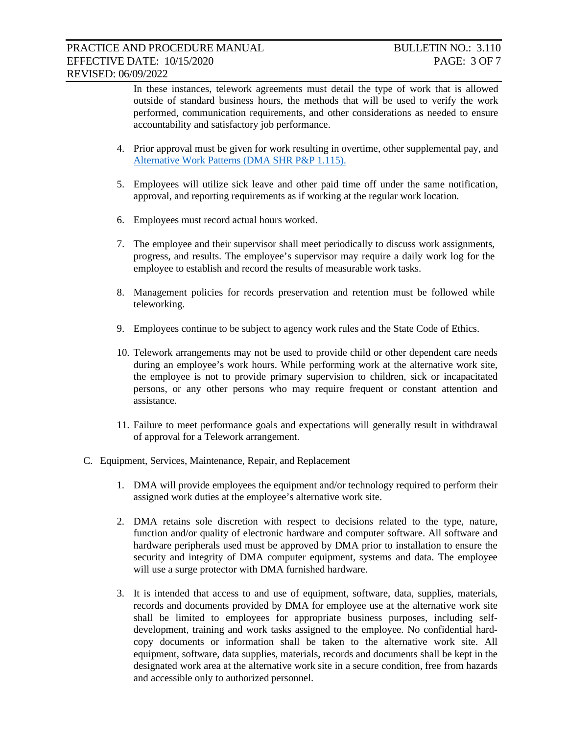In these instances, telework agreements must detail the type of work that is allowed outside of standard business hours, the methods that will be used to verify the work performed, communication requirements, and other considerations as needed to ensure accountability and satisfactory job performance.

- 4. Prior approval must be given for work resulting in overtime, other supplemental pay, and [Alternative Work Patterns \(DMA SHR P&P 1.115\).](https://dma.wi.gov/wp-content/library/StateHR/practice_procedure/P&P1.115_Altern_Work_Patt.pdf)
- 5. Employees will utilize sick leave and other paid time off under the same notification, approval, and reporting requirements as if working at the regular work location.
- 6. Employees must record actual hours worked.
- 7. The employee and their supervisor shall meet periodically to discuss work assignments, progress, and results. The employee's supervisor may require a daily work log for the employee to establish and record the results of measurable work tasks.
- 8. Management policies for records preservation and retention must be followed while teleworking.
- 9. Employees continue to be subject to agency work rules and the State Code of Ethics.
- 10. Telework arrangements may not be used to provide child or other dependent care needs during an employee's work hours. While performing work at the alternative work site, the employee is not to provide primary supervision to children, sick or incapacitated persons, or any other persons who may require frequent or constant attention and assistance.
- 11. Failure to meet performance goals and expectations will generally result in withdrawal of approval for a Telework arrangement.
- C. Equipment, Services, Maintenance, Repair, and Replacement
	- 1. DMA will provide employees the equipment and/or technology required to perform their assigned work duties at the employee's alternative work site.
	- 2. DMA retains sole discretion with respect to decisions related to the type, nature, function and/or quality of electronic hardware and computer software. All software and hardware peripherals used must be approved by DMA prior to installation to ensure the security and integrity of DMA computer equipment, systems and data. The employee will use a surge protector with DMA furnished hardware.
	- 3. It is intended that access to and use of equipment, software, data, supplies, materials, records and documents provided by DMA for employee use at the alternative work site shall be limited to employees for appropriate business purposes, including selfdevelopment, training and work tasks assigned to the employee. No confidential hardcopy documents or information shall be taken to the alternative work site. All equipment, software, data supplies, materials, records and documents shall be kept in the designated work area at the alternative work site in a secure condition, free from hazards and accessible only to authorized personnel.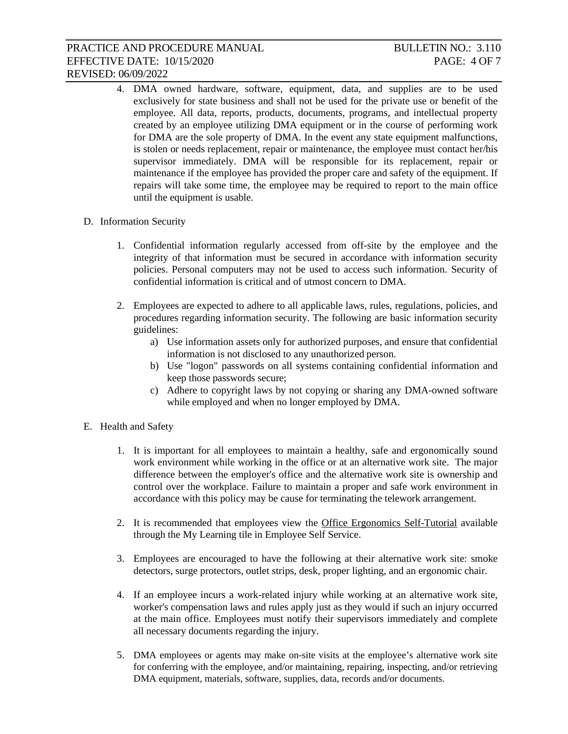- 4. DMA owned hardware, software, equipment, data, and supplies are to be used exclusively for state business and shall not be used for the private use or benefit of the employee. All data, reports, products, documents, programs, and intellectual property created by an employee utilizing DMA equipment or in the course of performing work for DMA are the sole property of DMA. In the event any state equipment malfunctions, is stolen or needs replacement, repair or maintenance, the employee must contact her/his supervisor immediately. DMA will be responsible for its replacement, repair or maintenance if the employee has provided the proper care and safety of the equipment. If repairs will take some time, the employee may be required to report to the main office until the equipment is usable.
- D. Information Security
	- 1. Confidential information regularly accessed from off-site by the employee and the integrity of that information must be secured in accordance with information security policies. Personal computers may not be used to access such information. Security of confidential information is critical and of utmost concern to DMA.
	- 2. Employees are expected to adhere to all applicable laws, rules, regulations, policies, and procedures regarding information security. The following are basic information security guidelines:
		- a) Use information assets only for authorized purposes, and ensure that confidential information is not disclosed to any unauthorized person.
		- b) Use "logon" passwords on all systems containing confidential information and keep those passwords secure;
		- c) Adhere to copyright laws by not copying or sharing any DMA-owned software while employed and when no longer employed by DMA.
- E. Health and Safety
	- 1. It is important for all employees to maintain a healthy, safe and ergonomically sound work environment while working in the office or at an alternative work site. The major difference between the employer's office and the alternative work site is ownership and control over the workplace. Failure to maintain a proper and safe work environment in accordance with this policy may be cause for terminating the telework arrangement.
	- 2. It is recommended that employees view the Office Ergonomics Self-Tutorial available through the My Learning tile in Employee Self Service.
	- 3. Employees are encouraged to have the following at their alternative work site: smoke detectors, surge protectors, outlet strips, desk, proper lighting, and an ergonomic chair.
	- 4. If an employee incurs a work-related injury while working at an alternative work site, worker's compensation laws and rules apply just as they would if such an injury occurred at the main office. Employees must notify their supervisors immediately and complete all necessary documents regarding the injury.
	- 5. DMA employees or agents may make on-site visits at the employee's alternative work site for conferring with the employee, and/or maintaining, repairing, inspecting, and/or retrieving DMA equipment, materials, software, supplies, data, records and/or documents.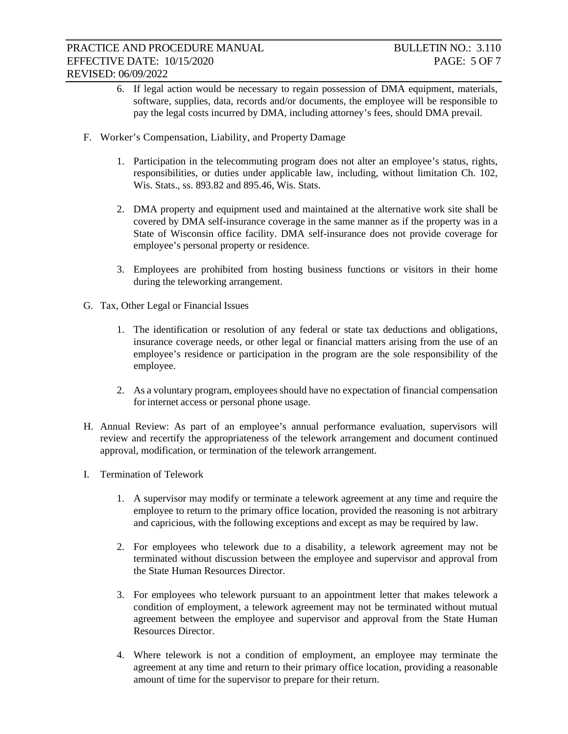- 6. If legal action would be necessary to regain possession of DMA equipment, materials, software, supplies, data, records and/or documents, the employee will be responsible to pay the legal costs incurred by DMA, including attorney's fees, should DMA prevail.
- F. Worker's Compensation, Liability, and Property Damage
	- 1. Participation in the telecommuting program does not alter an employee's status, rights, responsibilities, or duties under applicable law, including, without limitation Ch. 102, Wis. Stats., ss. 893.82 and 895.46, Wis. Stats.
	- 2. DMA property and equipment used and maintained at the alternative work site shall be covered by DMA self-insurance coverage in the same manner as if the property was in a State of Wisconsin office facility. DMA self-insurance does not provide coverage for employee's personal property or residence.
	- 3. Employees are prohibited from hosting business functions or visitors in their home during the teleworking arrangement.
- G. Tax, Other Legal or Financial Issues
	- 1. The identification or resolution of any federal or state tax deductions and obligations, insurance coverage needs, or other legal or financial matters arising from the use of an employee's residence or participation in the program are the sole responsibility of the employee.
	- 2. As a voluntary program, employees should have no expectation of financial compensation for internet access or personal phone usage.
- H. Annual Review: As part of an employee's annual performance evaluation, supervisors will review and recertify the appropriateness of the telework arrangement and document continued approval, modification, or termination of the telework arrangement.
- I. Termination of Telework
	- 1. A supervisor may modify or terminate a telework agreement at any time and require the employee to return to the primary office location, provided the reasoning is not arbitrary and capricious, with the following exceptions and except as may be required by law.
	- 2. For employees who telework due to a disability, a telework agreement may not be terminated without discussion between the employee and supervisor and approval from the State Human Resources Director.
	- 3. For employees who telework pursuant to an appointment letter that makes telework a condition of employment, a telework agreement may not be terminated without mutual agreement between the employee and supervisor and approval from the State Human Resources Director.
	- 4. Where telework is not a condition of employment, an employee may terminate the agreement at any time and return to their primary office location, providing a reasonable amount of time for the supervisor to prepare for their return.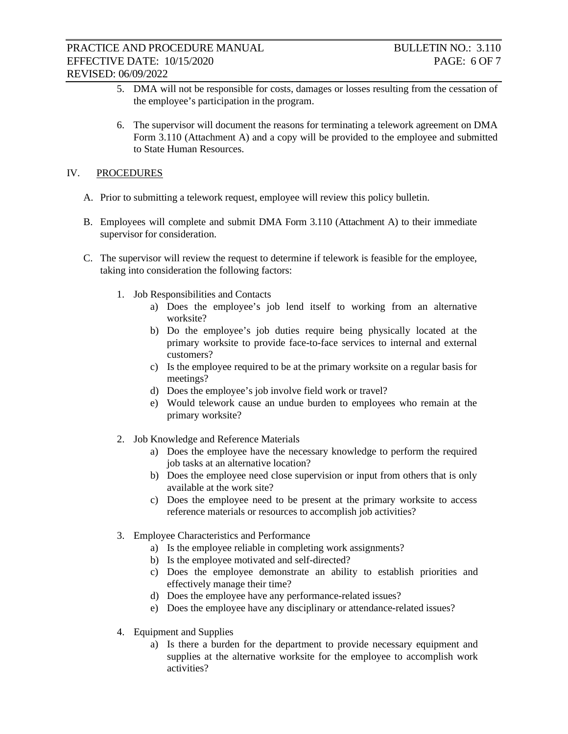- 5. DMA will not be responsible for costs, damages or losses resulting from the cessation of the employee's participation in the program.
- 6. The supervisor will document the reasons for terminating a telework agreement on DMA Form 3.110 (Attachment A) and a copy will be provided to the employee and submitted to State Human Resources.

## IV. PROCEDURES

- A. Prior to submitting a telework request, employee will review this policy bulletin.
- B. Employees will complete and submit DMA Form 3.110 (Attachment A) to their immediate supervisor for consideration.
- C. The supervisor will review the request to determine if telework is feasible for the employee, taking into consideration the following factors:
	- 1. Job Responsibilities and Contacts
		- a) Does the employee's job lend itself to working from an alternative worksite?
		- b) Do the employee's job duties require being physically located at the primary worksite to provide face-to-face services to internal and external customers?
		- c) Is the employee required to be at the primary worksite on a regular basis for meetings?
		- d) Does the employee's job involve field work or travel?
		- e) Would telework cause an undue burden to employees who remain at the primary worksite?
	- 2. Job Knowledge and Reference Materials
		- a) Does the employee have the necessary knowledge to perform the required job tasks at an alternative location?
		- b) Does the employee need close supervision or input from others that is only available at the work site?
		- c) Does the employee need to be present at the primary worksite to access reference materials or resources to accomplish job activities?
	- 3. Employee Characteristics and Performance
		- a) Is the employee reliable in completing work assignments?
		- b) Is the employee motivated and self-directed?
		- c) Does the employee demonstrate an ability to establish priorities and effectively manage their time?
		- d) Does the employee have any performance-related issues?
		- e) Does the employee have any disciplinary or attendance-related issues?
	- 4. Equipment and Supplies
		- a) Is there a burden for the department to provide necessary equipment and supplies at the alternative worksite for the employee to accomplish work activities?